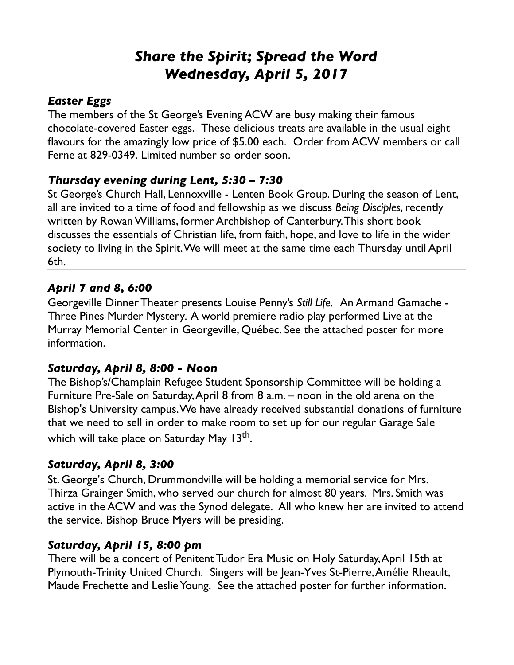# *Share the Spirit; Spread the Word Wednesday, April 5, 2017*

### *Easter Eggs*

The members of the St George's Evening ACW are busy making their famous chocolate-covered Easter eggs. These delicious treats are available in the usual eight flavours for the amazingly low price of \$5.00 each. Order from ACW members or call Ferne at 829-0349. Limited number so order soon.

#### *Thursday evening during Lent, 5:30 – 7:30*

St George's Church Hall, Lennoxville - Lenten Book Group. During the season of Lent, all are invited to a time of food and fellowship as we discuss *Being Disciples*, recently written by Rowan Williams, former Archbishop of Canterbury. This short book discusses the essentials of Christian life, from faith, hope, and love to life in the wider society to living in the Spirit. We will meet at the same time each Thursday until April 6th.

# *April 7 and 8, 6:00*

Georgeville Dinner Theater presents Louise Penny's *Still Life.* An Armand Gamache - Three Pines Murder Mystery*.* A world premiere radio play performed Live at the Murray Memorial Center in Georgeville, Québec. See the attached poster for more information.

#### *Saturday, April 8, 8:00 - Noon*

The Bishop's/Champlain Refugee Student Sponsorship Committee will be holding a Furniture Pre-Sale on Saturday, April 8 from 8 a.m. – noon in the old arena on the Bishop's University campus. We have already received substantial donations of furniture that we need to sell in order to make room to set up for our regular Garage Sale which will take place on Saturday May 13<sup>th</sup>.

#### *Saturday, April 8, 3:00*

St. George's Church, Drummondville will be holding a memorial service for Mrs. Thirza Grainger Smith, who served our church for almost 80 years. Mrs. Smith was active in the ACW and was the Synod delegate. All who knew her are invited to attend the service. Bishop Bruce Myers will be presiding.

#### *Saturday, April 15, 8:00 pm*

There will be a concert of Penitent Tudor Era Music on Holy Saturday, April 15th at Plymouth-Trinity United Church. Singers will be Jean-Yves St-Pierre, Amélie Rheault, Maude Frechette and Leslie Young. See the attached poster for further information.